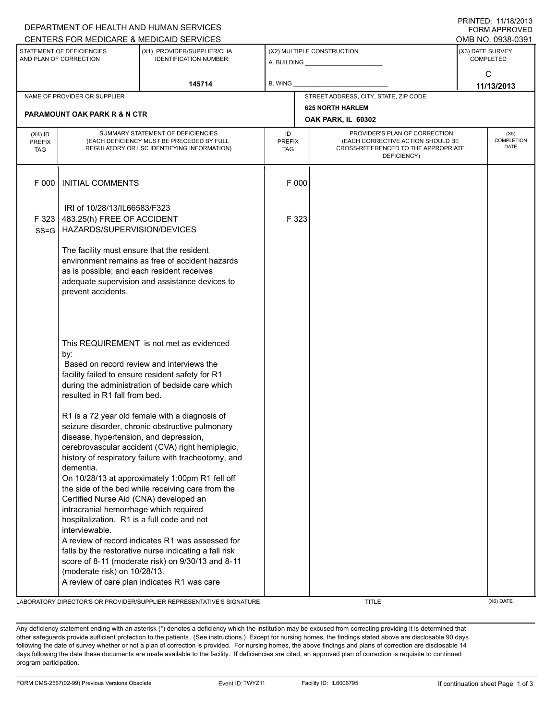|                                                     |                                                                                                                                                                                       | DEPARTMENT OF HEALTH AND HUMAN SERVICES                                                                                                                                                                                                                             |                                   |                                                                                                                          |                                   | <b>FORM APPROVED</b>                 |  |  |
|-----------------------------------------------------|---------------------------------------------------------------------------------------------------------------------------------------------------------------------------------------|---------------------------------------------------------------------------------------------------------------------------------------------------------------------------------------------------------------------------------------------------------------------|-----------------------------------|--------------------------------------------------------------------------------------------------------------------------|-----------------------------------|--------------------------------------|--|--|
|                                                     |                                                                                                                                                                                       | CENTERS FOR MEDICARE & MEDICAID SERVICES                                                                                                                                                                                                                            |                                   |                                                                                                                          |                                   | OMB NO. 0938-0391                    |  |  |
| STATEMENT OF DEFICIENCIES<br>AND PLAN OF CORRECTION |                                                                                                                                                                                       | (X1) PROVIDER/SUPPLIER/CLIA<br><b>IDENTIFICATION NUMBER:</b>                                                                                                                                                                                                        |                                   | (X2) MULTIPLE CONSTRUCTION<br>A. BUILDING <b>A. BUILDING</b>                                                             |                                   | (X3) DATE SURVEY<br><b>COMPLETED</b> |  |  |
|                                                     |                                                                                                                                                                                       | 145714                                                                                                                                                                                                                                                              | <b>B. WING</b>                    |                                                                                                                          | C<br>11/13/2013                   |                                      |  |  |
|                                                     | NAME OF PROVIDER OR SUPPLIER                                                                                                                                                          |                                                                                                                                                                                                                                                                     |                                   | STREET ADDRESS, CITY, STATE, ZIP CODE                                                                                    |                                   |                                      |  |  |
|                                                     |                                                                                                                                                                                       |                                                                                                                                                                                                                                                                     |                                   | <b>625 NORTH HARLEM</b>                                                                                                  |                                   |                                      |  |  |
|                                                     | <b>PARAMOUNT OAK PARK R &amp; N CTR</b>                                                                                                                                               |                                                                                                                                                                                                                                                                     |                                   | OAK PARK, IL 60302                                                                                                       |                                   |                                      |  |  |
| $(X4)$ ID<br><b>PREFIX</b><br><b>TAG</b>            |                                                                                                                                                                                       | SUMMARY STATEMENT OF DEFICIENCIES<br>(EACH DEFICIENCY MUST BE PRECEDED BY FULL<br>REGULATORY OR LSC IDENTIFYING INFORMATION)                                                                                                                                        | ID<br><b>PREFIX</b><br><b>TAG</b> | PROVIDER'S PLAN OF CORRECTION<br>(EACH CORRECTIVE ACTION SHOULD BE<br>CROSS-REFERENCED TO THE APPROPRIATE<br>DEFICIENCY) | (X5)<br>COMPLETION<br><b>DATE</b> |                                      |  |  |
| F 000                                               | <b>INITIAL COMMENTS</b>                                                                                                                                                               |                                                                                                                                                                                                                                                                     | F 000                             |                                                                                                                          |                                   |                                      |  |  |
| F 323<br>$SS = G$                                   | IRI of 10/28/13/IL66583/F323<br>483.25(h) FREE OF ACCIDENT<br>HAZARDS/SUPERVISION/DEVICES                                                                                             |                                                                                                                                                                                                                                                                     | F 323                             |                                                                                                                          |                                   |                                      |  |  |
|                                                     | The facility must ensure that the resident<br>as is possible; and each resident receives<br>prevent accidents.                                                                        | environment remains as free of accident hazards<br>adequate supervision and assistance devices to                                                                                                                                                                   |                                   |                                                                                                                          |                                   |                                      |  |  |
|                                                     | by:<br>resulted in R1 fall from bed.                                                                                                                                                  | This REQUIREMENT is not met as evidenced<br>Based on record review and interviews the<br>facility failed to ensure resident safety for R1<br>during the administration of bedside care which<br>R1 is a 72 year old female with a diagnosis of                      |                                   |                                                                                                                          |                                   |                                      |  |  |
|                                                     | disease, hypertension, and depression,<br>dementia.<br>Certified Nurse Aid (CNA) developed an<br>intracranial hemorrhage which required<br>hospitalization. R1 is a full code and not | seizure disorder, chronic obstructive pulmonary<br>cerebrovascular accident (CVA) right hemiplegic,<br>history of respiratory failure with tracheotomy, and<br>On 10/28/13 at approximately 1:00pm R1 fell off<br>the side of the bed while receiving care from the |                                   |                                                                                                                          |                                   |                                      |  |  |
|                                                     | interviewable.<br>(moderate risk) on 10/28/13.                                                                                                                                        | A review of record indicates R1 was assessed for<br>falls by the restorative nurse indicating a fall risk<br>score of 8-11 (moderate risk) on 9/30/13 and 8-11<br>A review of care plan indicates R1 was care                                                       |                                   |                                                                                                                          |                                   |                                      |  |  |

LABORATORY DIRECTOR'S OR PROVIDER/SUPPLIER REPRESENTATIVE'S SIGNATURE THE TITLE THE TITLE (X6) DATE

PRINTED: 11/18/2013

Any deficiency statement ending with an asterisk (\*) denotes a deficiency which the institution may be excused from correcting providing it is determined that other safeguards provide sufficient protection to the patients . (See instructions.) Except for nursing homes, the findings stated above are disclosable 90 days following the date of survey whether or not a plan of correction is provided. For nursing homes, the above findings and plans of correction are disclosable 14 days following the date these documents are made available to the facility. If deficiencies are cited, an approved plan of correction is requisite to continued program participation.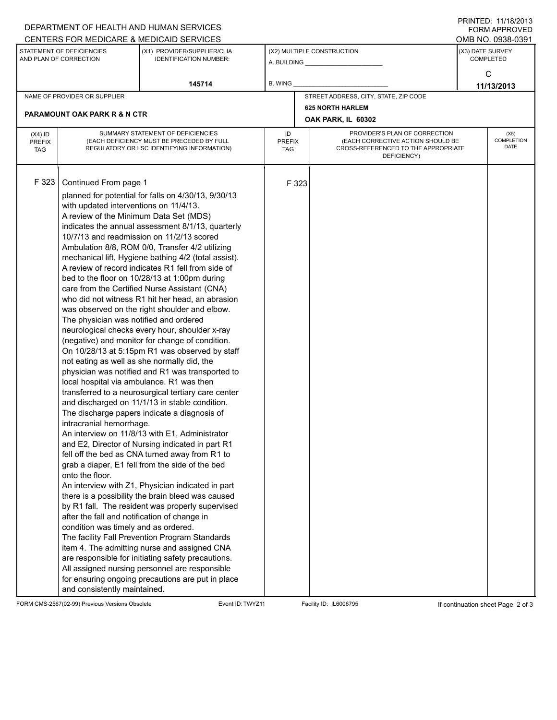| DEPARTMENT OF HEALTH AND HUMAN SERVICES                                                              |                                                                                                   | FNINILU. IIIIOZUIJ<br>FORM APPROVED                                                                |                            |                    |                                                                    |                                       |                    |
|------------------------------------------------------------------------------------------------------|---------------------------------------------------------------------------------------------------|----------------------------------------------------------------------------------------------------|----------------------------|--------------------|--------------------------------------------------------------------|---------------------------------------|--------------------|
| CENTERS FOR MEDICARE & MEDICAID SERVICES<br>STATEMENT OF DEFICIENCIES<br>(X1) PROVIDER/SUPPLIER/CLIA |                                                                                                   |                                                                                                    | (X2) MULTIPLE CONSTRUCTION |                    |                                                                    | OMB NO. 0938-0391<br>(X3) DATE SURVEY |                    |
| AND PLAN OF CORRECTION                                                                               |                                                                                                   | <b>IDENTIFICATION NUMBER:</b>                                                                      |                            |                    |                                                                    | <b>COMPLETED</b>                      |                    |
|                                                                                                      |                                                                                                   |                                                                                                    |                            |                    |                                                                    | C                                     |                    |
|                                                                                                      |                                                                                                   | 145714                                                                                             | <b>B. WING</b>             |                    |                                                                    | 11/13/2013                            |                    |
|                                                                                                      | NAME OF PROVIDER OR SUPPLIER                                                                      |                                                                                                    |                            |                    | STREET ADDRESS, CITY, STATE, ZIP CODE                              |                                       |                    |
|                                                                                                      | <b>PARAMOUNT OAK PARK R &amp; N CTR</b>                                                           |                                                                                                    |                            |                    | <b>625 NORTH HARLEM</b>                                            |                                       |                    |
|                                                                                                      |                                                                                                   |                                                                                                    |                            | OAK PARK, IL 60302 |                                                                    |                                       |                    |
| $(X4)$ ID<br><b>PREFIX</b>                                                                           |                                                                                                   | SUMMARY STATEMENT OF DEFICIENCIES<br>(EACH DEFICIENCY MUST BE PRECEDED BY FULL                     |                            | <b>PREFIX</b>      | PROVIDER'S PLAN OF CORRECTION<br>(EACH CORRECTIVE ACTION SHOULD BE |                                       | (X5)<br>COMPLETION |
| <b>TAG</b>                                                                                           | REGULATORY OR LSC IDENTIFYING INFORMATION)                                                        |                                                                                                    | <b>TAG</b>                 |                    | CROSS-REFERENCED TO THE APPROPRIATE<br>DEFICIENCY)                 |                                       | <b>DATE</b>        |
|                                                                                                      |                                                                                                   |                                                                                                    |                            |                    |                                                                    |                                       |                    |
|                                                                                                      |                                                                                                   |                                                                                                    |                            |                    |                                                                    |                                       |                    |
| F 323                                                                                                | Continued From page 1                                                                             |                                                                                                    |                            | F 323              |                                                                    |                                       |                    |
|                                                                                                      | with updated interventions on 11/4/13.                                                            | planned for potential for falls on 4/30/13, 9/30/13                                                |                            |                    |                                                                    |                                       |                    |
|                                                                                                      | A review of the Minimum Data Set (MDS)                                                            |                                                                                                    |                            |                    |                                                                    |                                       |                    |
|                                                                                                      |                                                                                                   | indicates the annual assessment 8/1/13, quarterly                                                  |                            |                    |                                                                    |                                       |                    |
|                                                                                                      |                                                                                                   | 10/7/13 and readmission on 11/2/13 scored                                                          |                            |                    |                                                                    |                                       |                    |
|                                                                                                      |                                                                                                   | Ambulation 8/8, ROM 0/0, Transfer 4/2 utilizing                                                    |                            |                    |                                                                    |                                       |                    |
|                                                                                                      |                                                                                                   | mechanical lift, Hygiene bathing 4/2 (total assist).                                               |                            |                    |                                                                    |                                       |                    |
|                                                                                                      |                                                                                                   | A review of record indicates R1 fell from side of<br>bed to the floor on 10/28/13 at 1:00pm during |                            |                    |                                                                    |                                       |                    |
|                                                                                                      |                                                                                                   | care from the Certified Nurse Assistant (CNA)                                                      |                            |                    |                                                                    |                                       |                    |
|                                                                                                      |                                                                                                   | who did not witness R1 hit her head, an abrasion                                                   |                            |                    |                                                                    |                                       |                    |
|                                                                                                      |                                                                                                   | was observed on the right shoulder and elbow.                                                      |                            |                    |                                                                    |                                       |                    |
|                                                                                                      | The physician was notified and ordered                                                            |                                                                                                    |                            |                    |                                                                    |                                       |                    |
|                                                                                                      |                                                                                                   | neurological checks every hour, shoulder x-ray                                                     |                            |                    |                                                                    |                                       |                    |
|                                                                                                      | (negative) and monitor for change of condition.<br>On 10/28/13 at 5:15pm R1 was observed by staff |                                                                                                    |                            |                    |                                                                    |                                       |                    |
|                                                                                                      | not eating as well as she normally did, the                                                       |                                                                                                    |                            |                    |                                                                    |                                       |                    |
|                                                                                                      |                                                                                                   | physician was notified and R1 was transported to                                                   |                            |                    |                                                                    |                                       |                    |
|                                                                                                      | local hospital via ambulance. R1 was then                                                         |                                                                                                    |                            |                    |                                                                    |                                       |                    |
|                                                                                                      | transferred to a neurosurgical tertiary care center                                               |                                                                                                    |                            |                    |                                                                    |                                       |                    |
|                                                                                                      |                                                                                                   | and discharged on 11/1/13 in stable condition.                                                     |                            |                    |                                                                    |                                       |                    |
|                                                                                                      | intracranial hemorrhage.                                                                          | The discharge papers indicate a diagnosis of                                                       |                            |                    |                                                                    |                                       |                    |
|                                                                                                      |                                                                                                   | An interview on 11/8/13 with E1, Administrator                                                     |                            |                    |                                                                    |                                       |                    |
|                                                                                                      |                                                                                                   | and E2, Director of Nursing indicated in part R1                                                   |                            |                    |                                                                    |                                       |                    |
|                                                                                                      |                                                                                                   | fell off the bed as CNA turned away from R1 to                                                     |                            |                    |                                                                    |                                       |                    |
|                                                                                                      |                                                                                                   | grab a diaper, E1 fell from the side of the bed                                                    |                            |                    |                                                                    |                                       |                    |
|                                                                                                      | onto the floor.                                                                                   | An interview with Z1, Physician indicated in part                                                  |                            |                    |                                                                    |                                       |                    |
|                                                                                                      |                                                                                                   | there is a possibility the brain bleed was caused                                                  |                            |                    |                                                                    |                                       |                    |
|                                                                                                      |                                                                                                   | by R1 fall. The resident was properly supervised                                                   |                            |                    |                                                                    |                                       |                    |
|                                                                                                      | after the fall and notification of change in                                                      |                                                                                                    |                            |                    |                                                                    |                                       |                    |
|                                                                                                      | condition was timely and as ordered.                                                              |                                                                                                    |                            |                    |                                                                    |                                       |                    |
|                                                                                                      |                                                                                                   | The facility Fall Prevention Program Standards                                                     |                            |                    |                                                                    |                                       |                    |
|                                                                                                      |                                                                                                   | item 4. The admitting nurse and assigned CNA<br>are responsible for initiating safety precautions. |                            |                    |                                                                    |                                       |                    |
|                                                                                                      |                                                                                                   | All assigned nursing personnel are responsible                                                     |                            |                    |                                                                    |                                       |                    |
|                                                                                                      |                                                                                                   | for ensuring ongoing precautions are put in place                                                  |                            |                    |                                                                    |                                       |                    |
|                                                                                                      | and consistently maintained.                                                                      |                                                                                                    |                            |                    |                                                                    |                                       |                    |

FORM CMS-2567(02-99) Previous Versions Obsolete Event ID:TWYZ11 Facility ID: IL6006795 If continuation sheet Page 2 of 3

PRINTED: 11/18/2013